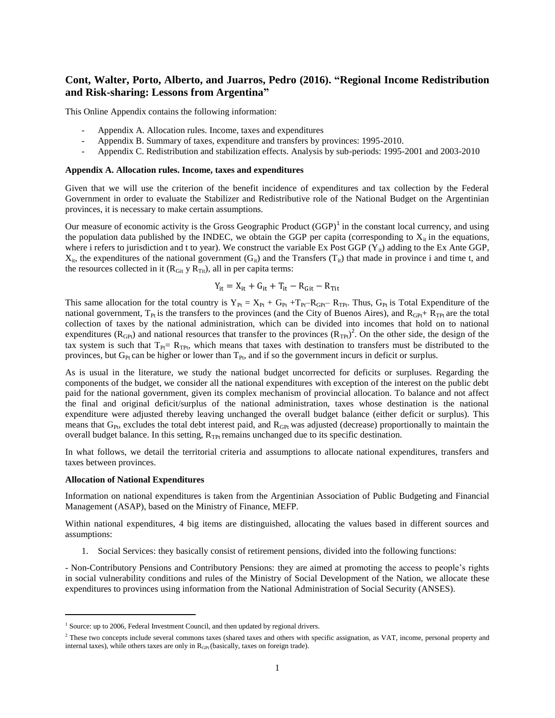# **Cont, Walter, Porto, Alberto, and Juarros, Pedro (2016). "Regional Income Redistribution and Risk-sharing: Lessons from Argentina"**

This Online Appendix contains the following information:

- Appendix A. Allocation rules. Income, taxes and expenditures
- Appendix B. Summary of taxes, expenditure and transfers by provinces: 1995-2010.
- Appendix C. Redistribution and stabilization effects. Analysis by sub-periods: 1995-2001 and 2003-2010

## **Appendix A. Allocation rules. Income, taxes and expenditures**

Given that we will use the criterion of the benefit incidence of expenditures and tax collection by the Federal Government in order to evaluate the Stabilizer and Redistributive role of the National Budget on the Argentinian provinces, it is necessary to make certain assumptions.

Our measure of economic activity is the Gross Geographic Product  $(GGP)<sup>1</sup>$  in the constant local currency, and using the population data published by the INDEC, we obtain the GGP per capita (corresponding to  $X_{it}$  in the equations, where i refers to jurisdiction and t to year). We construct the variable Ex Post GGP ( $Y_{i}$ ) adding to the Ex Ante GGP,  $X_{it}$ , the expenditures of the national government  $(G_{it})$  and the Transfers  $(T_{it})$  that made in province i and time t, and the resources collected in it  $(R<sub>Git</sub> y R<sub>Tit</sub>)$ , all in per capita terms:

$$
Y_{it} = X_{it} + G_{it} + T_{it} - R_{Git} - R_{Tit}
$$

This same allocation for the total country is  $Y_{Pt} = X_{Pt} + G_{Pt} + T_{Pt} - R_{GPT}$ . Thus,  $G_{Pt}$  is Total Expenditure of the national government,  $T_{Pt}$  is the transfers to the provinces (and the City of Buenos Aires), and  $R_{GPt}$ +  $R_{TPt}$  are the total collection of taxes by the national administration, which can be divided into incomes that hold on to national expenditures ( $R_{GP}$ ) and national resources that transfer to the provinces ( $R_{TP}$ )<sup>2</sup>. On the other side, the design of the tax system is such that  $T_{Pt}$ =  $R_{TPt}$ , which means that taxes with destination to transfers must be distributed to the provinces, but  $G_{\text{Pt}}$  can be higher or lower than  $T_{\text{Pt}}$ , and if so the government incurs in deficit or surplus.

As is usual in the literature, we study the national budget uncorrected for deficits or surpluses. Regarding the components of the budget, we consider all the national expenditures with exception of the interest on the public debt paid for the national government, given its complex mechanism of provincial allocation. To balance and not affect the final and original deficit/surplus of the national administration, taxes whose destination is the national expenditure were adjusted thereby leaving unchanged the overall budget balance (either deficit or surplus). This means that  $G_{\text{Pt}}$ , excludes the total debt interest paid, and  $R_{\text{GF}}$  was adjusted (decrease) proportionally to maintain the overall budget balance. In this setting,  $R_{\text{TPt}}$  remains unchanged due to its specific destination.

In what follows, we detail the territorial criteria and assumptions to allocate national expenditures, transfers and taxes between provinces.

## **Allocation of National Expenditures**

 $\overline{\phantom{a}}$ 

Information on national expenditures is taken from the Argentinian Association of Public Budgeting and Financial Management (ASAP), based on the Ministry of Finance, MEFP.

Within national expenditures, 4 big items are distinguished, allocating the values based in different sources and assumptions:

1. Social Services: they basically consist of retirement pensions, divided into the following functions:

- Non-Contributory Pensions and Contributory Pensions: they are aimed at promoting the access to people's rights in social vulnerability conditions and rules of the Ministry of Social Development of the Nation, we allocate these expenditures to provinces using information from the National Administration of Social Security (ANSES).

 $1$  Source: up to 2006, Federal Investment Council, and then updated by regional drivers.

<sup>&</sup>lt;sup>2</sup> These two concepts include several commons taxes (shared taxes and others with specific assignation, as VAT, income, personal property and internal taxes), while others taxes are only in  $R<sub>GPt</sub>$  (basically, taxes on foreign trade).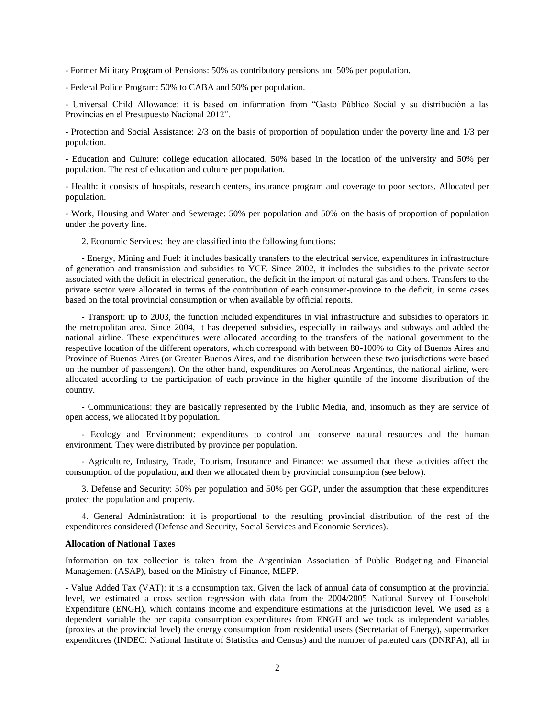- Former Military Program of Pensions: 50% as contributory pensions and 50% per population.

- Federal Police Program: 50% to CABA and 50% per population.

- Universal Child Allowance: it is based on information from "Gasto Público Social y su distribución a las Provincias en el Presupuesto Nacional 2012".

- Protection and Social Assistance: 2/3 on the basis of proportion of population under the poverty line and 1/3 per population.

- Education and Culture: college education allocated, 50% based in the location of the university and 50% per population. The rest of education and culture per population.

- Health: it consists of hospitals, research centers, insurance program and coverage to poor sectors. Allocated per population.

- Work, Housing and Water and Sewerage: 50% per population and 50% on the basis of proportion of population under the poverty line.

2. Economic Services: they are classified into the following functions:

- Energy, Mining and Fuel: it includes basically transfers to the electrical service, expenditures in infrastructure of generation and transmission and subsidies to YCF. Since 2002, it includes the subsidies to the private sector associated with the deficit in electrical generation, the deficit in the import of natural gas and others. Transfers to the private sector were allocated in terms of the contribution of each consumer-province to the deficit, in some cases based on the total provincial consumption or when available by official reports.

- Transport: up to 2003, the function included expenditures in vial infrastructure and subsidies to operators in the metropolitan area. Since 2004, it has deepened subsidies, especially in railways and subways and added the national airline. These expenditures were allocated according to the transfers of the national government to the respective location of the different operators, which correspond with between 80-100% to City of Buenos Aires and Province of Buenos Aires (or Greater Buenos Aires, and the distribution between these two jurisdictions were based on the number of passengers). On the other hand, expenditures on Aerolineas Argentinas, the national airline, were allocated according to the participation of each province in the higher quintile of the income distribution of the country.

- Communications: they are basically represented by the Public Media, and, insomuch as they are service of open access, we allocated it by population.

- Ecology and Environment: expenditures to control and conserve natural resources and the human environment. They were distributed by province per population.

- Agriculture, Industry, Trade, Tourism, Insurance and Finance: we assumed that these activities affect the consumption of the population, and then we allocated them by provincial consumption (see below).

3. Defense and Security: 50% per population and 50% per GGP, under the assumption that these expenditures protect the population and property.

4. General Administration: it is proportional to the resulting provincial distribution of the rest of the expenditures considered (Defense and Security, Social Services and Economic Services).

## **Allocation of National Taxes**

Information on tax collection is taken from the Argentinian Association of Public Budgeting and Financial Management (ASAP), based on the Ministry of Finance, MEFP.

- Value Added Tax (VAT): it is a consumption tax. Given the lack of annual data of consumption at the provincial level, we estimated a cross section regression with data from the 2004/2005 National Survey of Household Expenditure (ENGH), which contains income and expenditure estimations at the jurisdiction level. We used as a dependent variable the per capita consumption expenditures from ENGH and we took as independent variables (proxies at the provincial level) the energy consumption from residential users (Secretariat of Energy), supermarket expenditures (INDEC: National Institute of Statistics and Census) and the number of patented cars (DNRPA), all in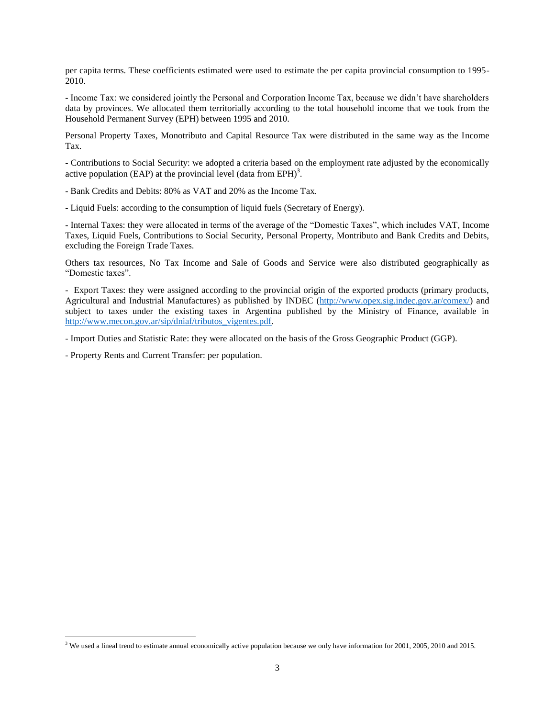per capita terms. These coefficients estimated were used to estimate the per capita provincial consumption to 1995- 2010.

- Income Tax: we considered jointly the Personal and Corporation Income Tax, because we didn't have shareholders data by provinces. We allocated them territorially according to the total household income that we took from the Household Permanent Survey (EPH) between 1995 and 2010.

Personal Property Taxes, Monotributo and Capital Resource Tax were distributed in the same way as the Income Tax.

- Contributions to Social Security: we adopted a criteria based on the employment rate adjusted by the economically active population (EAP) at the provincial level (data from EPH)<sup>3</sup>.

- Bank Credits and Debits: 80% as VAT and 20% as the Income Tax.

- Liquid Fuels: according to the consumption of liquid fuels (Secretary of Energy).

- Internal Taxes: they were allocated in terms of the average of the "Domestic Taxes", which includes VAT, Income Taxes, Liquid Fuels, Contributions to Social Security, Personal Property, Montributo and Bank Credits and Debits, excluding the Foreign Trade Taxes.

Others tax resources, No Tax Income and Sale of Goods and Service were also distributed geographically as "Domestic taxes".

- Export Taxes: they were assigned according to the provincial origin of the exported products (primary products, Agricultural and Industrial Manufactures) as published by INDEC [\(http://www.opex.sig.indec.gov.ar/comex/\)](http://www.opex.sig.indec.gov.ar/comex/) and subject to taxes under the existing taxes in Argentina published by the Ministry of Finance, available in [http://www.mecon.gov.ar/sip/dniaf/tributos\\_vigentes.pdf.](http://www.mecon.gov.ar/sip/dniaf/tributos_vigentes.pdf)

- Import Duties and Statistic Rate: they were allocated on the basis of the Gross Geographic Product (GGP).

- Property Rents and Current Transfer: per population.

 $\overline{\phantom{a}}$ 

<sup>&</sup>lt;sup>3</sup> We used a lineal trend to estimate annual economically active population because we only have information for 2001, 2005, 2010 and 2015.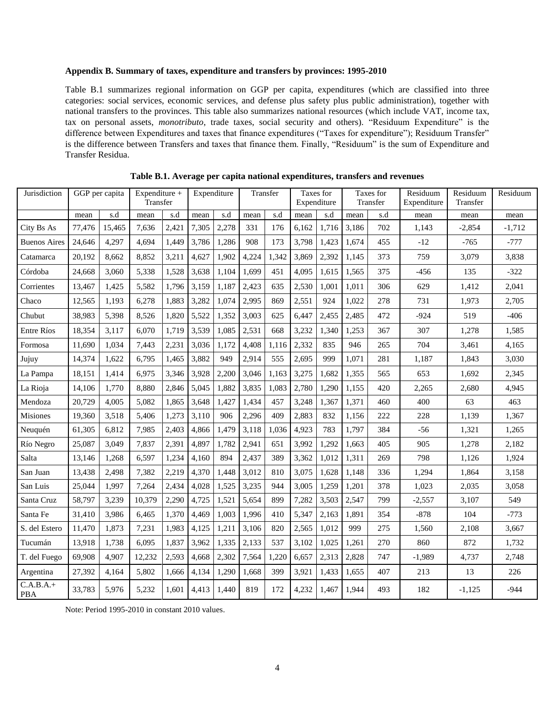## **Appendix B. Summary of taxes, expenditure and transfers by provinces: 1995-2010**

Table B.1 summarizes regional information on GGP per capita, expenditures (which are classified into three categories: social services, economic services, and defense plus safety plus public administration), together with national transfers to the provinces. This table also summarizes national resources (which include VAT, income tax, tax on personal assets, *monotributo*, trade taxes, social security and others). "Residuum Expenditure" is the difference between Expenditures and taxes that finance expenditures ("Taxes for expenditure"); Residuum Transfer" is the difference between Transfers and taxes that finance them. Finally, "Residuum" is the sum of Expenditure and Transfer Residua.

| Jurisdiction              | GGP per capita |        | Expenditure $+$<br>Transfer |       | Expenditure |       | Transfer |       | Taxes for<br>Expenditure |       | Taxes for<br>Transfer |     | Residuum<br>Expenditure | Residuum<br>Transfer | Residuum |
|---------------------------|----------------|--------|-----------------------------|-------|-------------|-------|----------|-------|--------------------------|-------|-----------------------|-----|-------------------------|----------------------|----------|
|                           | mean           | s.d    | mean                        | s.d   | mean        | s.d   | mean     | s.d   | mean                     | s.d   | mean                  | s.d | mean                    | mean                 | mean     |
| City Bs As                | 77,476         | 15,465 | 7,636                       | 2,421 | 7,305       | 2,278 | 331      | 176   | 6,162                    | 1,716 | 3,186                 | 702 | 1,143                   | $-2,854$             | $-1,712$ |
| <b>Buenos Aires</b>       | 24,646         | 4,297  | 4,694                       | 1,449 | 3,786       | 1,286 | 908      | 173   | 3,798                    | 1,423 | 1,674                 | 455 | $-12$                   | $-765$               | $-777$   |
| Catamarca                 | 20,192         | 8,662  | 8,852                       | 3,211 | 4,627       | 1,902 | 4,224    | 1,342 | 3,869                    | 2,392 | 1,145                 | 373 | 759                     | 3,079                | 3,838    |
| Córdoba                   | 24,668         | 3.060  | 5,338                       | 1,528 | 3,638       | 1,104 | 1.699    | 451   | 4,095                    | 1,615 | 1,565                 | 375 | $-456$                  | 135                  | $-322$   |
| Corrientes                | 13,467         | 1,425  | 5,582                       | 1,796 | 3,159       | 1,187 | 2,423    | 635   | 2,530                    | 1,001 | 1,011                 | 306 | 629                     | 1,412                | 2,041    |
| Chaco                     | 12,565         | 1,193  | 6,278                       | 1,883 | 3,282       | 1,074 | 2,995    | 869   | 2,551                    | 924   | 1,022                 | 278 | 731                     | 1,973                | 2,705    |
| Chubut                    | 38,983         | 5,398  | 8,526                       | 1,820 | 5,522       | 1,352 | 3,003    | 625   | 6,447                    | 2,455 | 2,485                 | 472 | $-924$                  | 519                  | $-406$   |
| <b>Entre Ríos</b>         | 18,354         | 3,117  | 6,070                       | 1,719 | 3,539       | 1,085 | 2,531    | 668   | 3,232                    | 1,340 | 1,253                 | 367 | 307                     | 1,278                | 1,585    |
| Formosa                   | 11,690         | 1,034  | 7,443                       | 2,231 | 3,036       | 1,172 | 4,408    | 1,116 | 2,332                    | 835   | 946                   | 265 | 704                     | 3,461                | 4,165    |
| Jujuy                     | 14,374         | 1,622  | 6,795                       | 1,465 | 3,882       | 949   | 2,914    | 555   | 2,695                    | 999   | 1,071                 | 281 | 1,187                   | 1,843                | 3,030    |
| La Pampa                  | 18,151         | 1,414  | 6,975                       | 3,346 | 3,928       | 2,200 | 3,046    | 1,163 | 3,275                    | 1,682 | 1,355                 | 565 | 653                     | 1,692                | 2,345    |
| La Rioja                  | 14,106         | 1,770  | 8,880                       | 2,846 | 5,045       | 1,882 | 3,835    | 1,083 | 2,780                    | 1,290 | 1,155                 | 420 | 2,265                   | 2,680                | 4,945    |
| Mendoza                   | 20,729         | 4,005  | 5,082                       | 1,865 | 3,648       | 1,427 | 1,434    | 457   | 3,248                    | 1,367 | 1,371                 | 460 | 400                     | 63                   | 463      |
| <b>Misiones</b>           | 19,360         | 3,518  | 5,406                       | 1,273 | 3,110       | 906   | 2,296    | 409   | 2,883                    | 832   | 1,156                 | 222 | 228                     | 1,139                | 1,367    |
| Neuquén                   | 61,305         | 6,812  | 7,985                       | 2,403 | 4,866       | 1,479 | 3,118    | 1,036 | 4,923                    | 783   | 1,797                 | 384 | -56                     | 1,321                | 1,265    |
| Río Negro                 | 25,087         | 3.049  | 7.837                       | 2,391 | 4,897       | 1,782 | 2,941    | 651   | 3,992                    | 1,292 | 1.663                 | 405 | 905                     | 1,278                | 2,182    |
| Salta                     | 13,146         | 1,268  | 6,597                       | 1,234 | 4,160       | 894   | 2,437    | 389   | 3,362                    | 1,012 | 1,311                 | 269 | 798                     | 1,126                | 1,924    |
| San Juan                  | 13,438         | 2,498  | 7,382                       | 2,219 | 4,370       | 1,448 | 3,012    | 810   | 3,075                    | 1,628 | 1,148                 | 336 | 1,294                   | 1,864                | 3,158    |
| San Luis                  | 25,044         | 1,997  | 7,264                       | 2,434 | 4,028       | 1,525 | 3,235    | 944   | 3,005                    | 1,259 | 1,201                 | 378 | 1,023                   | 2,035                | 3,058    |
| Santa Cruz                | 58,797         | 3,239  | 10,379                      | 2,290 | 4,725       | 1,521 | 5,654    | 899   | 7,282                    | 3,503 | 2,547                 | 799 | $-2,557$                | 3,107                | 549      |
| Santa Fe                  | 31,410         | 3,986  | 6,465                       | 1,370 | 4,469       | 1,003 | 1,996    | 410   | 5,347                    | 2,163 | 1,891                 | 354 | $-878$                  | 104                  | $-773$   |
| S. del Estero             | 11,470         | 1,873  | 7,231                       | 1,983 | 4,125       | 1,211 | 3,106    | 820   | 2,565                    | 1,012 | 999                   | 275 | 1,560                   | 2,108                | 3,667    |
| Tucumán                   | 13,918         | 1,738  | 6,095                       | 1,837 | 3,962       | 1,335 | 2,133    | 537   | 3,102                    | 1,025 | 1,261                 | 270 | 860                     | 872                  | 1,732    |
| T. del Fuego              | 69,908         | 4.907  | 12,232                      | 2,593 | 4,668       | 2,302 | 7,564    | 1,220 | 6,657                    | 2,313 | 2,828                 | 747 | $-1,989$                | 4,737                | 2,748    |
| Argentina                 | 27,392         | 4,164  | 5,802                       | 1,666 | 4,134       | 1,290 | 1,668    | 399   | 3,921                    | 1,433 | 1,655                 | 407 | 213                     | 13                   | 226      |
| $C.A.B.A.+$<br><b>PBA</b> | 33,783         | 5,976  | 5,232                       | 1,601 | 4,413       | 1,440 | 819      | 172   | 4,232                    | 1,467 | 1,944                 | 493 | 182                     | $-1,125$             | $-944$   |

**Table B.1. Average per capita national expenditures, transfers and revenues**

Note: Period 1995-2010 in constant 2010 values.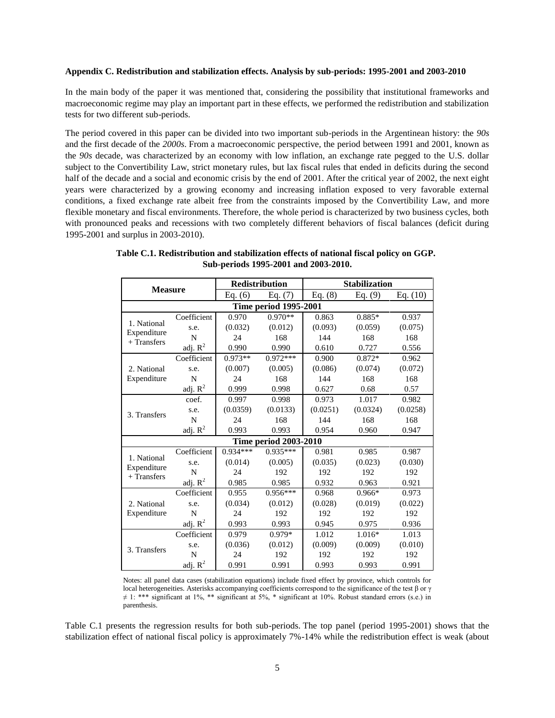#### **Appendix C. Redistribution and stabilization effects. Analysis by sub-periods: 1995-2001 and 2003-2010**

In the main body of the paper it was mentioned that, considering the possibility that institutional frameworks and macroeconomic regime may play an important part in these effects, we performed the redistribution and stabilization tests for two different sub-periods.

The period covered in this paper can be divided into two important sub-periods in the Argentinean history: the *90s* and the first decade of the *2000s*. From a macroeconomic perspective, the period between 1991 and 2001, known as the *90s* decade, was characterized by an economy with low inflation, an exchange rate pegged to the U.S. dollar subject to the Convertibility Law, strict monetary rules, but lax fiscal rules that ended in deficits during the second half of the decade and a social and economic crisis by the end of 2001. After the critical year of 2002, the next eight years were characterized by a growing economy and increasing inflation exposed to very favorable external conditions, a fixed exchange rate albeit free from the constraints imposed by the Convertibility Law, and more flexible monetary and fiscal environments. Therefore, the whole period is characterized by two business cycles, both with pronounced peaks and recessions with two completely different behaviors of fiscal balances (deficit during 1995-2001 and surplus in 2003-2010).

| <b>Measure</b>               |                                  | <b>Redistribution</b> |            | <b>Stabilization</b> |           |            |  |  |  |  |
|------------------------------|----------------------------------|-----------------------|------------|----------------------|-----------|------------|--|--|--|--|
|                              |                                  | Eq. $(6)$             | Eq. $(7)$  | Eq. $(8)$            | Eq. $(9)$ | Eq. $(10)$ |  |  |  |  |
| <b>Time period 1995-2001</b> |                                  |                       |            |                      |           |            |  |  |  |  |
|                              | Coefficient                      | 0.970                 | $0.970**$  | 0.863                | $0.885*$  | 0.937      |  |  |  |  |
| 1. National<br>Expenditure   | s.e.                             | (0.032)               | (0.012)    | (0.093)              | (0.059)   | (0.075)    |  |  |  |  |
| $+$ Transfers                | N                                | 24                    | 168        | 144                  | 168       | 168        |  |  |  |  |
|                              | adj. $R^2$                       | 0.990                 | 0.990      | 0.610                | 0.727     | 0.556      |  |  |  |  |
|                              | Coefficient                      | $0.973**$             | $0.972***$ | 0.900                | $0.872*$  | 0.962      |  |  |  |  |
| 2. National                  | s.e.                             | (0.007)               | (0.005)    | (0.086)              | (0.074)   | (0.072)    |  |  |  |  |
| Expenditure                  | N                                | 24                    | 168        | 144                  | 168       | 168        |  |  |  |  |
|                              | $\frac{\text{adj.}}{\text{R}^2}$ | 0.999                 | 0.998      | 0.627                | 0.68      | 0.57       |  |  |  |  |
|                              | coef.                            | 0.997                 | 0.998      | 0.973                | 1.017     | 0.982      |  |  |  |  |
| 3. Transfers                 | s.e.                             | (0.0359)              | (0.0133)   | (0.0251)             | (0.0324)  | (0.0258)   |  |  |  |  |
|                              | N                                | 24                    | 168        | 144                  | 168       | 168        |  |  |  |  |
|                              | $\underline{adj}. R^2$           | 0.993                 | 0.993      | 0.954                | 0.960     | 0.947      |  |  |  |  |
| <b>Time period 2003-2010</b> |                                  |                       |            |                      |           |            |  |  |  |  |
|                              | Coefficient                      | $0.934***$            | $0.935***$ | 0.981                | 0.985     | 0.987      |  |  |  |  |
| 1. National<br>Expenditure   | s.e.                             | (0.014)               | (0.005)    | (0.035)              | (0.023)   | (0.030)    |  |  |  |  |
| $+$ Transfers                | N                                | 24                    | 192        | 192                  | 192       | 192        |  |  |  |  |
|                              | adj. $R^2$                       | 0.985                 | 0.985      | 0.932                | 0.963     | 0.921      |  |  |  |  |
|                              | Coefficient                      | 0.955                 | $0.956***$ | 0.968                | $0.966*$  | 0.973      |  |  |  |  |
| 2. National                  | s.e.                             | (0.034)               | (0.012)    | (0.028)              | (0.019)   | (0.022)    |  |  |  |  |
| Expenditure                  | N                                | 24                    | 192        | 192                  | 192       | 192        |  |  |  |  |
|                              | adj. $R^2$                       | 0.993                 | 0.993      | 0.945                | 0.975     | 0.936      |  |  |  |  |
|                              | Coefficient                      | 0.979                 | 0.979*     | 1.012                | $1.016*$  | 1.013      |  |  |  |  |
| 3. Transfers                 | s.e.                             | (0.036)               | (0.012)    | (0.009)              | (0.009)   | (0.010)    |  |  |  |  |
|                              | N                                | 24                    | 192        | 192                  | 192       | 192        |  |  |  |  |
|                              | adj. $R^2$                       | 0.991                 | 0.991      | 0.993                | 0.993     | 0.991      |  |  |  |  |

**Table C.1. Redistribution and stabilization effects of national fiscal policy on GGP. Sub-periods 1995-2001 and 2003-2010.**

Notes: all panel data cases (stabilization equations) include fixed effect by province, which controls for local heterogeneities. Asterisks accompanying coefficients correspond to the significance of the test β or γ ≠ 1: \*\*\* significant at 1%, \*\* significant at 5%, \* significant at 10%. Robust standard errors (s.e.) in parenthesis.

Table C.1 presents the regression results for both sub-periods. The top panel (period 1995-2001) shows that the stabilization effect of national fiscal policy is approximately 7%-14% while the redistribution effect is weak (about